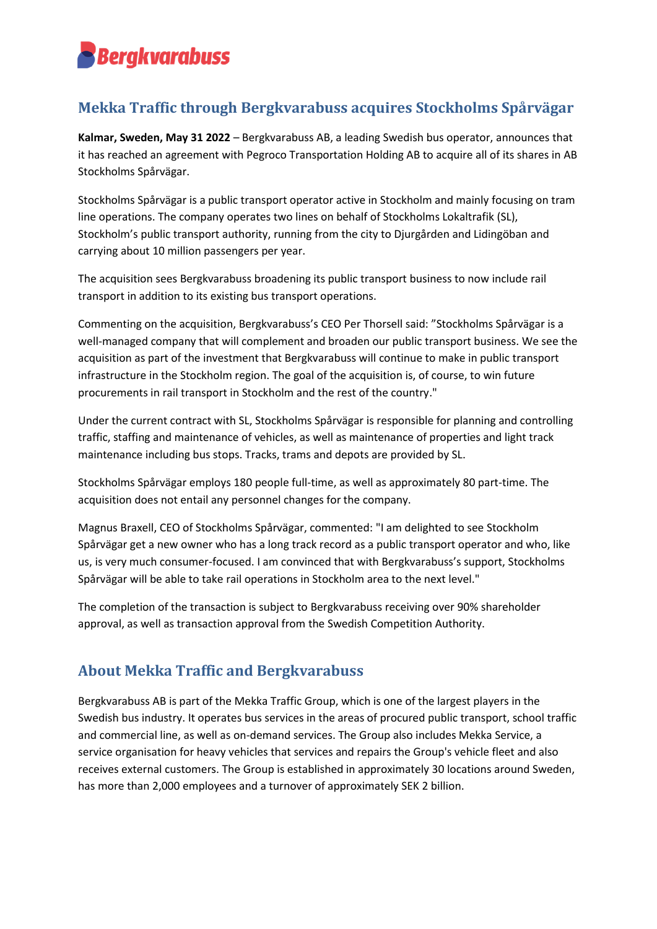# **Bergkvarabuss**

## **Mekka Traffic through Bergkvarabuss acquires Stockholms Spårvägar**

**Kalmar, Sweden, May 31 2022** – Bergkvarabuss AB, a leading Swedish bus operator, announces that it has reached an agreement with Pegroco Transportation Holding AB to acquire all of its shares in AB Stockholms Spårvägar.

Stockholms Spårvägar is a public transport operator active in Stockholm and mainly focusing on tram line operations. The company operates two lines on behalf of Stockholms Lokaltrafik (SL), Stockholm's public transport authority, running from the city to Djurgården and Lidingöban and carrying about 10 million passengers per year.

The acquisition sees Bergkvarabuss broadening its public transport business to now include rail transport in addition to its existing bus transport operations.

Commenting on the acquisition, Bergkvarabuss's CEO Per Thorsell said: "Stockholms Spårvägar is a well-managed company that will complement and broaden our public transport business. We see the acquisition as part of the investment that Bergkvarabuss will continue to make in public transport infrastructure in the Stockholm region. The goal of the acquisition is, of course, to win future procurements in rail transport in Stockholm and the rest of the country."

Under the current contract with SL, Stockholms Spårvägar is responsible for planning and controlling traffic, staffing and maintenance of vehicles, as well as maintenance of properties and light track maintenance including bus stops. Tracks, trams and depots are provided by SL.

Stockholms Spårvägar employs 180 people full-time, as well as approximately 80 part-time. The acquisition does not entail any personnel changes for the company.

Magnus Braxell, CEO of Stockholms Spårvägar, commented: "I am delighted to see Stockholm Spårvägar get a new owner who has a long track record as a public transport operator and who, like us, is very much consumer-focused. I am convinced that with Bergkvarabuss's support, Stockholms Spårvägar will be able to take rail operations in Stockholm area to the next level."

The completion of the transaction is subject to Bergkvarabuss receiving over 90% shareholder approval, as well as transaction approval from the Swedish Competition Authority.

## **About Mekka Traffic and Bergkvarabuss**

Bergkvarabuss AB is part of the Mekka Traffic Group, which is one of the largest players in the Swedish bus industry. It operates bus services in the areas of procured public transport, school traffic and commercial line, as well as on-demand services. The Group also includes Mekka Service, a service organisation for heavy vehicles that services and repairs the Group's vehicle fleet and also receives external customers. The Group is established in approximately 30 locations around Sweden, has more than 2,000 employees and a turnover of approximately SEK 2 billion.